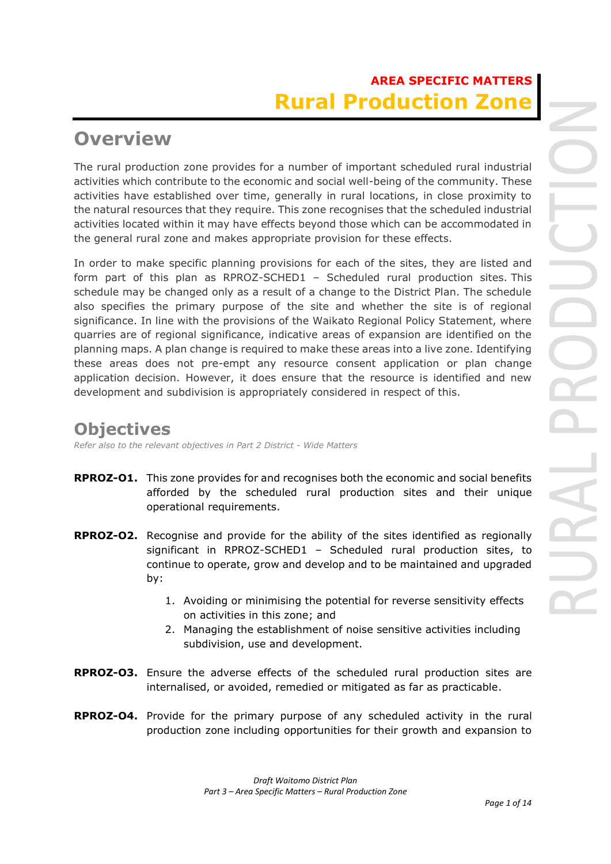# **AREA SPECIFIC MATTERS Rural Production Zone**

# **Overview**

The rural production zone provides for a number of important scheduled rural industrial activities which contribute to the economic and social well-being of the community. These activities have established over time, generally in rural locations, in close proximity to the natural resources that they require. This zone recognises that the scheduled industrial activities located within it may have effects beyond those which can be accommodated in the general rural zone and makes appropriate provision for these effects.

In order to make specific planning provisions for each of the sites, they are listed and form part of this plan as RPROZ-SCHED1 – Scheduled rural production sites. This schedule may be changed only as a result of a change to the District Plan. The schedule also specifies the primary purpose of the site and whether the site is of regional significance. In line with the provisions of the Waikato Regional Policy Statement, where quarries are of regional significance, indicative areas of expansion are identified on the planning maps. A plan change is required to make these areas into a live zone. Identifying these areas does not pre-empt any resource consent application or plan change application decision. However, it does ensure that the resource is identified and new development and subdivision is appropriately considered in respect of this.

## **Objectives**

*Refer also to the relevant objectives in Part 2 District - Wide Matters*

- **RPROZ-O1.** This zone provides for and recognises both the economic and social benefits afforded by the scheduled rural production sites and their unique operational requirements.
- **RPROZ-O2.** Recognise and provide for the ability of the sites identified as regionally significant in RPROZ-SCHED1 – Scheduled rural production sites, to continue to operate, grow and develop and to be maintained and upgraded by:
	- 1. Avoiding or minimising the potential for reverse sensitivity effects on activities in this zone; and
	- 2. Managing the establishment of noise sensitive activities including subdivision, use and development.
- **RPROZ-O3.** Ensure the adverse effects of the scheduled rural production sites are internalised, or avoided, remedied or mitigated as far as practicable.
- **RPROZ-O4.** Provide for the primary purpose of any scheduled activity in the rural production zone including opportunities for their growth and expansion to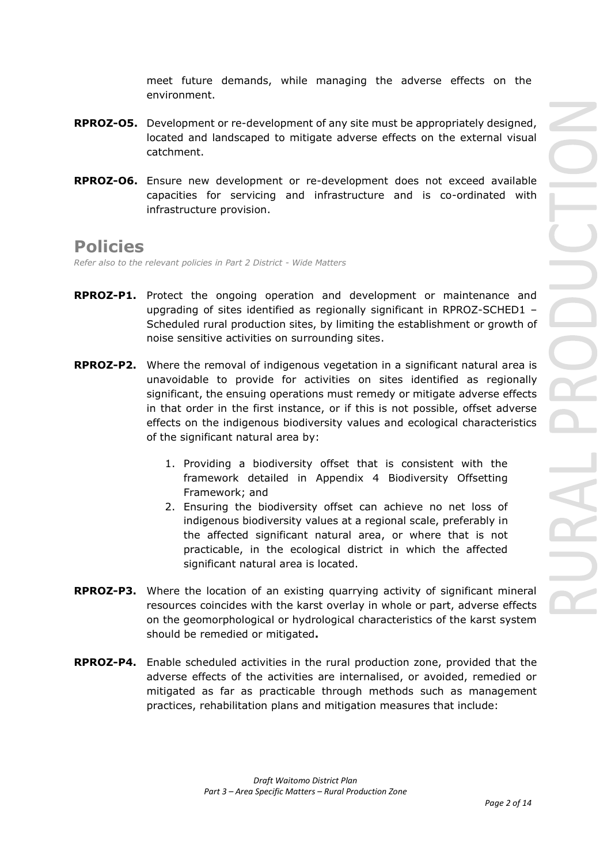meet future demands, while managing the adverse effects on the environment.

- **RPROZ-O5.** Development or re-development of any site must be appropriately designed, located and landscaped to mitigate adverse effects on the external visual catchment.
- **RPROZ-O6.** Ensure new development or re-development does not exceed available capacities for servicing and infrastructure and is co-ordinated with infrastructure provision.

## **Policies**

*Refer also to the relevant policies in Part 2 District - Wide Matters* 

- **RPROZ-P1.** Protect the ongoing operation and development or maintenance and upgrading of sites identified as regionally significant in RPROZ-SCHED1 – Scheduled rural production sites, by limiting the establishment or growth of noise sensitive activities on surrounding sites.
- **RPROZ-P2.** Where the removal of indigenous vegetation in a significant natural area is unavoidable to provide for activities on sites identified as regionally significant, the ensuing operations must remedy or mitigate adverse effects in that order in the first instance, or if this is not possible, offset adverse effects on the indigenous biodiversity values and ecological characteristics of the significant natural area by:
	- 1. Providing a biodiversity offset that is consistent with the framework detailed in Appendix 4 Biodiversity Offsetting Framework; and
	- 2. Ensuring the biodiversity offset can achieve no net loss of indigenous biodiversity values at a regional scale, preferably in the affected significant natural area, or where that is not practicable, in the ecological district in which the affected significant natural area is located.
- **RPROZ-P3.** Where the location of an existing quarrying activity of significant mineral resources coincides with the karst overlay in whole or part, adverse effects on the geomorphological or hydrological characteristics of the karst system should be remedied or mitigated**.**
- **RPROZ-P4.** Enable scheduled activities in the rural production zone, provided that the adverse effects of the activities are internalised, or avoided, remedied or mitigated as far as practicable through methods such as management practices, rehabilitation plans and mitigation measures that include: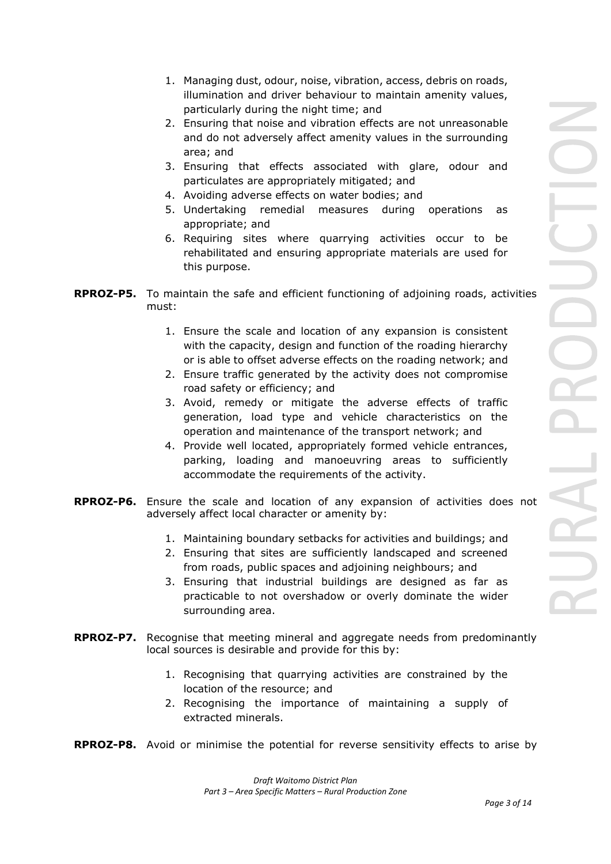- 1. Managing dust, odour, noise, vibration, access, debris on roads, illumination and driver behaviour to maintain amenity values, particularly during the night time; and
- 2. Ensuring that noise and vibration effects are not unreasonable and do not adversely affect amenity values in the surrounding area; and
- 3. Ensuring that effects associated with glare, odour and particulates are appropriately mitigated; and
- 4. Avoiding adverse effects on water bodies; and
- 5. Undertaking remedial measures during operations as appropriate; and
- 6. Requiring sites where quarrying activities occur to be rehabilitated and ensuring appropriate materials are used for this purpose.
- **RPROZ-P5.** To maintain the safe and efficient functioning of adjoining roads, activities must:
	- 1. Ensure the scale and location of any expansion is consistent with the capacity, design and function of the roading hierarchy or is able to offset adverse effects on the roading network; and
	- 2. Ensure traffic generated by the activity does not compromise road safety or efficiency; and
	- 3. Avoid, remedy or mitigate the adverse effects of traffic generation, load type and vehicle characteristics on the operation and maintenance of the transport network; and
	- 4. Provide well located, appropriately formed vehicle entrances, parking, loading and manoeuvring areas to sufficiently accommodate the requirements of the activity.
- **RPROZ-P6.** Ensure the scale and location of any expansion of activities does not adversely affect local character or amenity by:
	- 1. Maintaining boundary setbacks for activities and buildings; and
	- 2. Ensuring that sites are sufficiently landscaped and screened from roads, public spaces and adjoining neighbours; and
	- 3. Ensuring that industrial buildings are designed as far as practicable to not overshadow or overly dominate the wider surrounding area.
- **RPROZ-P7.** Recognise that meeting mineral and aggregate needs from predominantly local sources is desirable and provide for this by:
	- 1. Recognising that quarrying activities are constrained by the location of the resource; and
	- 2. Recognising the importance of maintaining a supply of extracted minerals.
- **RPROZ-P8.** Avoid or minimise the potential for reverse sensitivity effects to arise by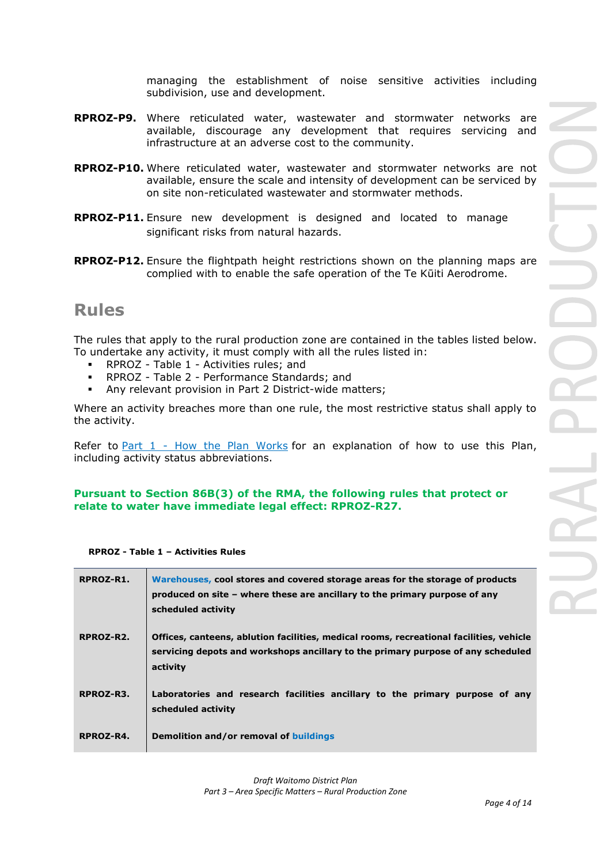managing the establishment of noise sensitive activities including subdivision, use and development.

- **RPROZ-P9.** Where reticulated water, wastewater and stormwater networks are available, discourage any development that requires servicing and infrastructure at an adverse cost to the community.
- **RPROZ-P10.** Where reticulated water, wastewater and stormwater networks are not available, ensure the scale and intensity of development can be serviced by on site non-reticulated wastewater and stormwater methods.
- **RPROZ-P11.** Ensure new development is designed and located to manage significant risks from natural hazards.
- **RPROZ-P12.** Ensure the flightpath height restrictions shown on the planning maps are complied with to enable the safe operation of the Te Kūiti Aerodrome.

## **Rules**

The rules that apply to the rural production zone are contained in the tables listed below. To undertake any activity, it must comply with all the rules listed in:

- RPROZ Table 1 Activities rules; and
- RPROZ Table 2 Performance Standards; and
- Any relevant provision in Part 2 District-wide matters;

Where an activity breaches more than one rule, the most restrictive status shall apply to the activity.

Refer to [Part 1](javascript:void(0)) - How the Plan Works for an explanation of how to use this Plan, including activity status abbreviations.

## **Pursuant to Section 86B(3) of the RMA, the following rules that protect or relate to water have immediate legal effect: RPROZ-R27.**

## **RPROZ - Table 1 – Activities Rules**

| RPROZ-R1. | Warehouses, cool stores and covered storage areas for the storage of products<br>produced on site – where these are ancillary to the primary purpose of any<br>scheduled activity       |
|-----------|-----------------------------------------------------------------------------------------------------------------------------------------------------------------------------------------|
| RPROZ-R2. | Offices, canteens, ablution facilities, medical rooms, recreational facilities, vehicle<br>servicing depots and workshops ancillary to the primary purpose of any scheduled<br>activity |
| RPROZ-R3. | Laboratories and research facilities ancillary to the primary purpose of any<br>scheduled activity                                                                                      |
| RPROZ-R4. | Demolition and/or removal of buildings                                                                                                                                                  |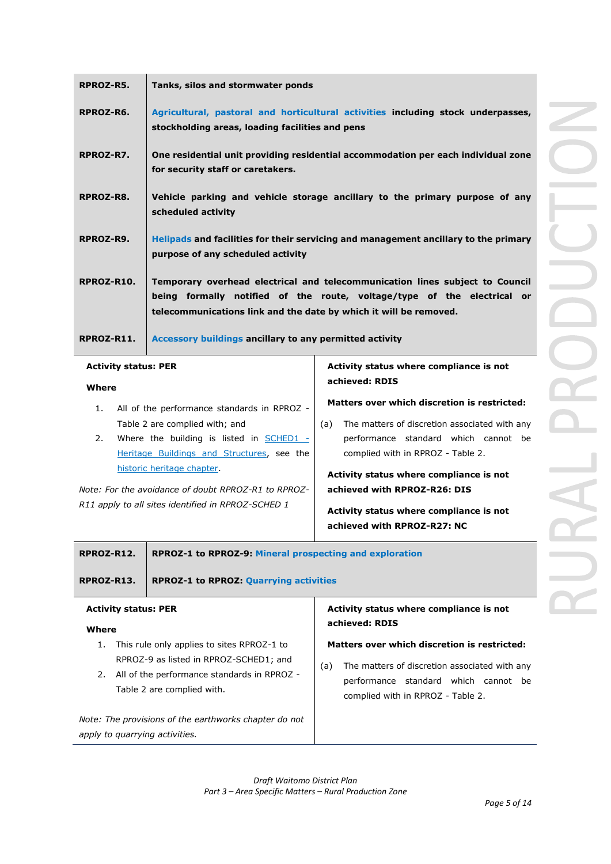| RPROZ-R5.  | Tanks, silos and stormwater ponds                                                                                                                                                                                            |
|------------|------------------------------------------------------------------------------------------------------------------------------------------------------------------------------------------------------------------------------|
| RPROZ-R6.  | Agricultural, pastoral and horticultural activities including stock underpasses,<br>stockholding areas, loading facilities and pens                                                                                          |
| RPROZ-R7.  | One residential unit providing residential accommodation per each individual zone<br>for security staff or caretakers.                                                                                                       |
| RPROZ-R8.  | Vehicle parking and vehicle storage ancillary to the primary purpose of any<br>scheduled activity                                                                                                                            |
| RPROZ-R9.  | Helipads and facilities for their servicing and management ancillary to the primary<br>purpose of any scheduled activity                                                                                                     |
| RPROZ-R10. | Temporary overhead electrical and telecommunication lines subject to Council<br>being formally notified of the route, voltage/type of the electrical or<br>telecommunications link and the date by which it will be removed. |
| RPROZ-R11. | Accessory buildings ancillary to any permitted activity                                                                                                                                                                      |

#### **Activity status: PER**

#### **Where**

- 1. All of the performance standards in RPROZ Table 2 are complied with; and
- 2. Where the building is listed in **SCHED1** -Heritage Buildings and Structures, see the historic heritage chapter.

*Note: For the avoidance of doubt RPROZ-R1 to RPROZ-R11 apply to all sites identified in RPROZ-SCHED 1* 

## **Activity status where compliance is not achieved: RDIS**

### **Matters over which discretion is restricted:**

(a) The matters of discretion associated with any performance standard which cannot be complied with in RPROZ - Table 2.

**Activity status where compliance is not achieved with RPROZ-R26: DIS**

**Activity status where compliance is not achieved with RPROZ-R27: NC**

| RPROZ-R12.                                                             | <b>RPROZ-1 to RPROZ-9: Mineral prospecting and exploration</b> |  |  |
|------------------------------------------------------------------------|----------------------------------------------------------------|--|--|
| RPROZ-R13.                                                             | <b>RPROZ-1 to RPROZ: Quarrying activities</b>                  |  |  |
| Activity status where compliance is not<br><b>Activity status: PER</b> |                                                                |  |  |

#### **Where**

- 1. This rule only applies to sites RPROZ-1 to RPROZ-9 as listed in RPROZ-SCHED1; and
- 2. All of the performance standards in RPROZ Table 2 are complied with.

*Note: The provisions of the earthworks chapter do not apply to quarrying activities.*

## **Activity status where compliance is not achieved: RDIS**

### **Matters over which discretion is restricted:**

(a) The matters of discretion associated with any performance standard which cannot be complied with in RPROZ - Table 2.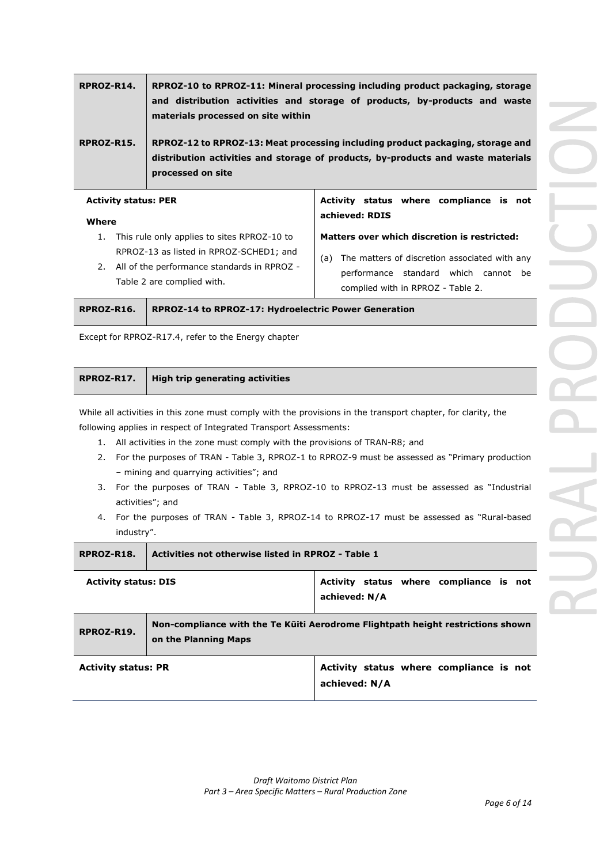| RPROZ-R14. | RPROZ-10 to RPROZ-11: Mineral processing including product packaging, storage<br>and distribution activities and storage of products, by-products and waste<br>materials processed on site within |
|------------|---------------------------------------------------------------------------------------------------------------------------------------------------------------------------------------------------|
| RPROZ-R15. | RPROZ-12 to RPROZ-13: Meat processing including product packaging, storage and<br>distribution activities and storage of products, by-products and waste materials<br>processed on site           |

| <b>Activity status: PER</b>                                                                                                                                                  | Activity status where compliance is not                                                                                                                                           |
|------------------------------------------------------------------------------------------------------------------------------------------------------------------------------|-----------------------------------------------------------------------------------------------------------------------------------------------------------------------------------|
| Where                                                                                                                                                                        | achieved: RDIS                                                                                                                                                                    |
| This rule only applies to sites RPROZ-10 to<br>1.<br>RPROZ-13 as listed in RPROZ-SCHED1; and<br>2. All of the performance standards in RPROZ -<br>Table 2 are complied with. | Matters over which discretion is restricted:<br>The matters of discretion associated with any<br>(a)<br>performance standard which cannot be<br>complied with in RPROZ - Table 2. |

| RPROZ-R16.   RPROZ-14 to RPROZ-17: Hydroelectric Power Generation |
|-------------------------------------------------------------------|
|                                                                   |

Except for RPROZ-R17.4, refer to the Energy chapter

| High trip generating activities<br>RPROZ-R17. |
|-----------------------------------------------|
|-----------------------------------------------|

While all activities in this zone must comply with the provisions in the transport chapter, for clarity, the following applies in respect of Integrated Transport Assessments:

- 1. All activities in the zone must comply with the provisions of TRAN-R8; and
- 2. For the purposes of TRAN Table 3, RPROZ-1 to RPROZ-9 must be assessed as "Primary production – mining and quarrying activities"; and
- 3. For the purposes of TRAN Table 3, RPROZ-10 to RPROZ-13 must be assessed as "Industrial activities"; and
- 4. For the purposes of TRAN Table 3, RPROZ-14 to RPROZ-17 must be assessed as "Rural-based industry".

| RPROZ-R18.                  | Activities not otherwise listed in RPROZ - Table 1                                                      |                                                          |  |
|-----------------------------|---------------------------------------------------------------------------------------------------------|----------------------------------------------------------|--|
| <b>Activity status: DIS</b> |                                                                                                         | Activity status where compliance is not<br>achieved: N/A |  |
| RPROZ-R19.                  | Non-compliance with the Te Kuiti Aerodrome Flightpath height restrictions shown<br>on the Planning Maps |                                                          |  |
| <b>Activity status: PR</b>  |                                                                                                         | Activity status where compliance is not<br>achieved: N/A |  |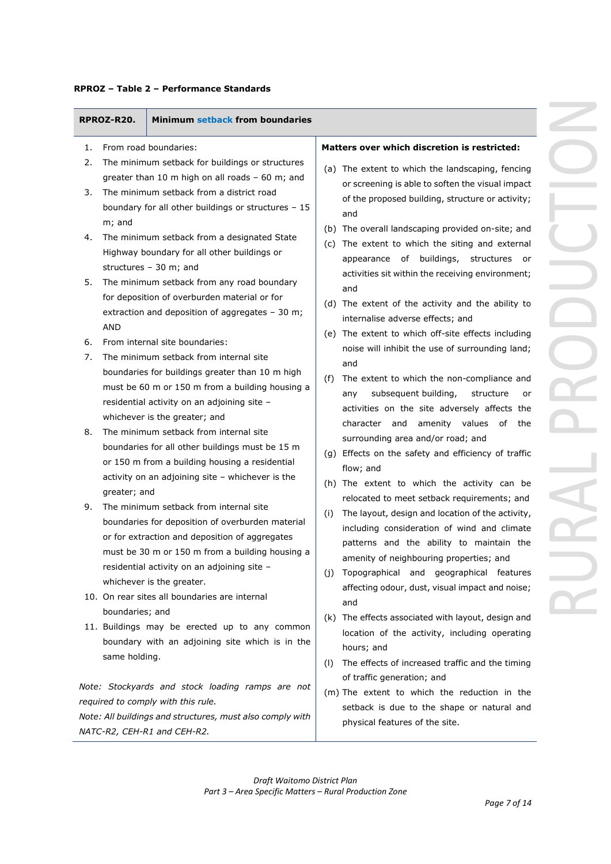| RPROZ-R20.                       | Minimum setback from boundaries                                                                                                                                                                                                                                                                                              |                                                                                                                                                                                                                                                                                                                                                                                               |
|----------------------------------|------------------------------------------------------------------------------------------------------------------------------------------------------------------------------------------------------------------------------------------------------------------------------------------------------------------------------|-----------------------------------------------------------------------------------------------------------------------------------------------------------------------------------------------------------------------------------------------------------------------------------------------------------------------------------------------------------------------------------------------|
| 1.                               | From road boundaries:                                                                                                                                                                                                                                                                                                        | Matters over which discretion is restricted:                                                                                                                                                                                                                                                                                                                                                  |
| 2.<br>3.                         | The minimum setback for buildings or structures<br>greater than 10 m high on all roads - 60 m; and<br>The minimum setback from a district road<br>boundary for all other buildings or structures - 15                                                                                                                        | (a) The extent to which the landscaping, fencing<br>or screening is able to soften the visual impact<br>of the proposed building, structure or activity;                                                                                                                                                                                                                                      |
| m; and<br>4.                     | The minimum setback from a designated State<br>Highway boundary for all other buildings or                                                                                                                                                                                                                                   | and<br>(b) The overall landscaping provided on-site; and<br>(c) The extent to which the siting and external<br>appearance of buildings,<br>structures<br>or                                                                                                                                                                                                                                   |
| 5.                               | structures $-30$ m; and<br>The minimum setback from any road boundary<br>for deposition of overburden material or for<br>extraction and deposition of aggregates - 30 m;                                                                                                                                                     | activities sit within the receiving environment;<br>and<br>(d) The extent of the activity and the ability to<br>internalise adverse effects; and                                                                                                                                                                                                                                              |
| <b>AND</b><br>6.                 | From internal site boundaries:                                                                                                                                                                                                                                                                                               | (e) The extent to which off-site effects including<br>noise will inhibit the use of surrounding land;                                                                                                                                                                                                                                                                                         |
| 7.                               | The minimum setback from internal site<br>boundaries for buildings greater than 10 m high<br>must be 60 m or 150 m from a building housing a<br>residential activity on an adjoining site -<br>whichever is the greater; and                                                                                                 | and<br>The extent to which the non-compliance and<br>(f)<br>subsequent building,<br>structure<br>any<br>or<br>activities on the site adversely affects the                                                                                                                                                                                                                                    |
| 8.                               | The minimum setback from internal site<br>boundaries for all other buildings must be 15 m<br>or 150 m from a building housing a residential<br>activity on an adjoining site - whichever is the                                                                                                                              | character and<br>amenity values<br>of<br>the<br>surrounding area and/or road; and<br>(g) Effects on the safety and efficiency of traffic<br>flow; and                                                                                                                                                                                                                                         |
| greater; and<br>9.               | The minimum setback from internal site<br>boundaries for deposition of overburden material<br>or for extraction and deposition of aggregates<br>must be 30 m or 150 m from a building housing a<br>residential activity on an adjoining site -<br>whichever is the greater.<br>10. On rear sites all boundaries are internal | (h) The extent to which the activity can be<br>relocated to meet setback requirements; and<br>The layout, design and location of the activity,<br>(i)<br>including consideration of wind and climate<br>patterns and the ability to maintain the<br>amenity of neighbouring properties; and<br>(j) Topographical and geographical features<br>affecting odour, dust, visual impact and noise; |
| boundaries; and<br>same holding. | 11. Buildings may be erected up to any common<br>boundary with an adjoining site which is in the                                                                                                                                                                                                                             | and<br>(k) The effects associated with layout, design and<br>location of the activity, including operating<br>hours; and<br>The effects of increased traffic and the timing<br>(1)                                                                                                                                                                                                            |
|                                  | Note: Stockyards and stock loading ramps are not<br>required to comply with this rule.<br>Note: All buildings and structures, must also comply with<br>NATC-R2, CEH-R1 and CEH-R2.                                                                                                                                           | of traffic generation; and<br>(m) The extent to which the reduction in the<br>setback is due to the shape or natural and<br>physical features of the site.                                                                                                                                                                                                                                    |
|                                  | Draft Waitomo District Plan                                                                                                                                                                                                                                                                                                  |                                                                                                                                                                                                                                                                                                                                                                                               |

## **RPROZ – Table 2 – Performance Standards**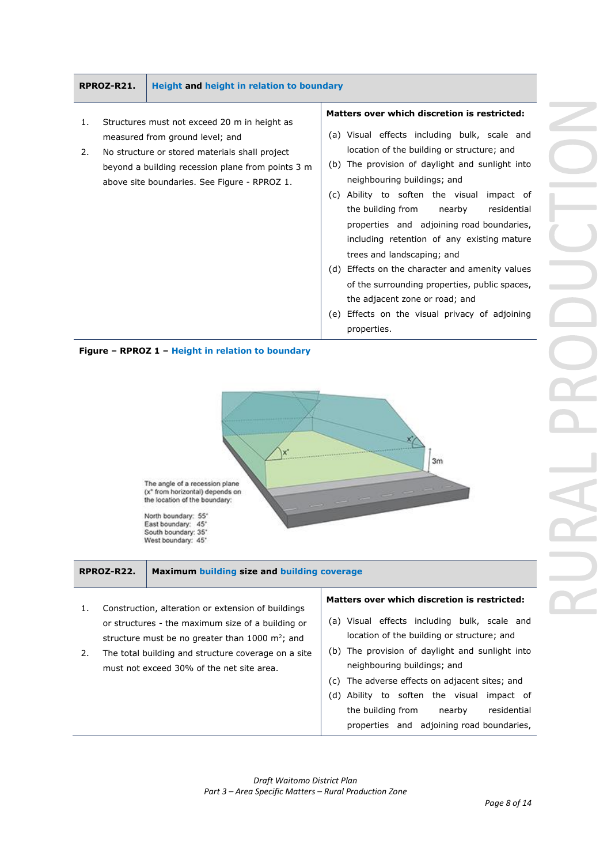## **RPROZ-R21. Height and height in relation to boundary**

- 1. Structures must not exceed 20 m in height as measured from ground level; and
- 2. No structure or stored materials shall project beyond a building recession plane from points 3 m above site boundaries. See Figure - RPROZ 1.

### **Matters over which discretion is restricted:**

- (a) Visual effects including bulk, scale and location of the building or structure; and
- (b) The provision of daylight and sunlight into neighbouring buildings; and
- (c) Ability to soften the visual impact of the building from nearby residential properties and adjoining road boundaries, including retention of any existing mature trees and landscaping; and
- (d) Effects on the character and amenity values of the surrounding properties, public spaces, the adjacent zone or road; and
- (e) Effects on the visual privacy of adjoining properties.





| 1. Construction, alteration or extension of buildings |  |  |
|-------------------------------------------------------|--|--|

or structures - the maximum size of a building or structure must be no greater than 1000 m<sup>2</sup>; and 2. The total building and structure coverage on a site

**RPROZ-R22. Maximum building size and building coverage**

must not exceed 30% of the net site area.

## **Matters over which discretion is restricted:**

- (a) Visual effects including bulk, scale and location of the building or structure; and
- (b) The provision of daylight and sunlight into neighbouring buildings; and
- (c) The adverse effects on adjacent sites; and
- (d) Ability to soften the visual impact of the building from nearby residential properties and adjoining road boundaries,

*Draft Waitomo District Plan Part 3 – Area Specific Matters – Rural Production Zone*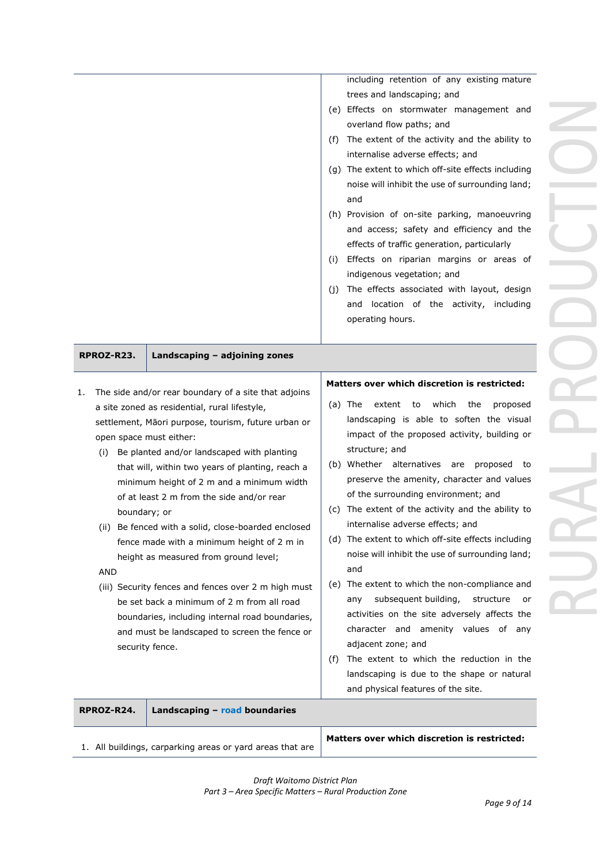|                                                                                              | 1. All buildings, carparking areas or yard areas that are                                                                                                                                                                                                                                                                                                                                                                                                                                                                                                                                                                                                                                                                                        |                   | Matters over which discretion is restricted:                                                                                                                                                                                                                                                                                                                                                                                                                                                                                                                                                                                                                                                                                                                                                                                                                                                                |
|----------------------------------------------------------------------------------------------|--------------------------------------------------------------------------------------------------------------------------------------------------------------------------------------------------------------------------------------------------------------------------------------------------------------------------------------------------------------------------------------------------------------------------------------------------------------------------------------------------------------------------------------------------------------------------------------------------------------------------------------------------------------------------------------------------------------------------------------------------|-------------------|-------------------------------------------------------------------------------------------------------------------------------------------------------------------------------------------------------------------------------------------------------------------------------------------------------------------------------------------------------------------------------------------------------------------------------------------------------------------------------------------------------------------------------------------------------------------------------------------------------------------------------------------------------------------------------------------------------------------------------------------------------------------------------------------------------------------------------------------------------------------------------------------------------------|
| RPROZ-R24.                                                                                   | Landscaping - road boundaries                                                                                                                                                                                                                                                                                                                                                                                                                                                                                                                                                                                                                                                                                                                    |                   |                                                                                                                                                                                                                                                                                                                                                                                                                                                                                                                                                                                                                                                                                                                                                                                                                                                                                                             |
| RPROZ-R23.<br>1.<br>open space must either:<br>(i)<br>boundary; or<br>AND<br>security fence. | Landscaping - adjoining zones<br>The side and/or rear boundary of a site that adjoins<br>a site zoned as residential, rural lifestyle,<br>settlement, Māori purpose, tourism, future urban or<br>Be planted and/or landscaped with planting<br>that will, within two years of planting, reach a<br>minimum height of 2 m and a minimum width<br>of at least 2 m from the side and/or rear<br>(ii) Be fenced with a solid, close-boarded enclosed<br>fence made with a minimum height of 2 m in<br>height as measured from ground level;<br>(iii) Security fences and fences over 2 m high must<br>be set back a minimum of 2 m from all road<br>boundaries, including internal road boundaries,<br>and must be landscaped to screen the fence or | (C)<br>(f)        | Matters over which discretion is restricted:<br>which<br>(a) The<br>to<br>the<br>proposed<br>extent<br>landscaping is able to soften the visual<br>impact of the proposed activity, building or<br>structure; and<br>(b) Whether alternatives are proposed<br>to<br>preserve the amenity, character and values<br>of the surrounding environment; and<br>The extent of the activity and the ability to<br>internalise adverse effects; and<br>(d) The extent to which off-site effects including<br>noise will inhibit the use of surrounding land;<br>and<br>(e) The extent to which the non-compliance and<br>subsequent building,<br>structure<br>any<br>or<br>activities on the site adversely affects the<br>character and amenity values of any<br>adjacent zone; and<br>The extent to which the reduction in the<br>landscaping is due to the shape or natural<br>and physical features of the site. |
|                                                                                              |                                                                                                                                                                                                                                                                                                                                                                                                                                                                                                                                                                                                                                                                                                                                                  | (f)<br>(i)<br>(i) | including retention of any existing mature<br>trees and landscaping; and<br>(e) Effects on stormwater management and<br>overland flow paths; and<br>The extent of the activity and the ability to<br>internalise adverse effects; and<br>(g) The extent to which off-site effects including<br>noise will inhibit the use of surrounding land;<br>and<br>(h) Provision of on-site parking, manoeuvring<br>and access; safety and efficiency and the<br>effects of traffic generation, particularly<br>Effects on riparian margins or areas of<br>indigenous vegetation; and<br>The effects associated with layout, design<br>and location of the activity, including<br>operating hours.                                                                                                                                                                                                                    |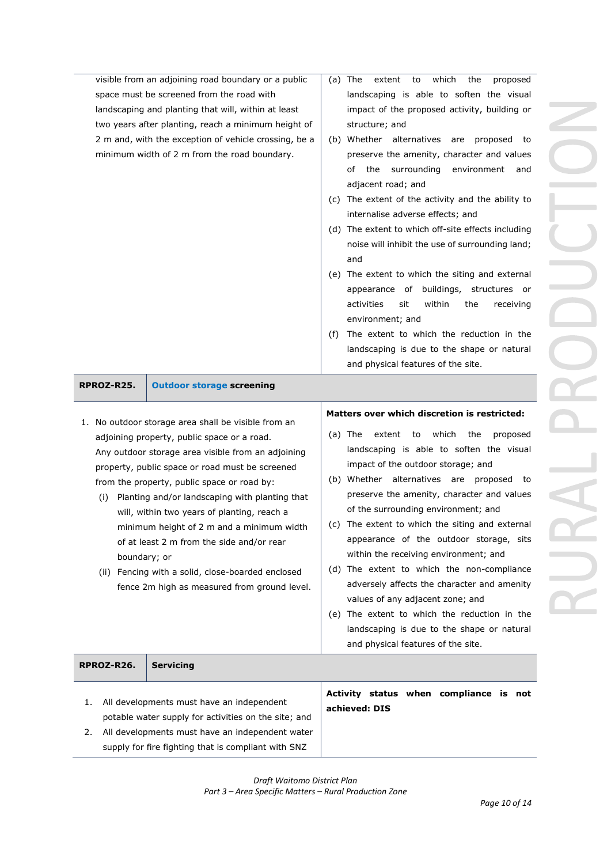| All developments must have an independent<br>1.<br>potable water supply for activities on the site; and                                                                                                                                                                 |                                                                                                                                                                                                                                                                                                                                                                                                                                                                                                                                                            | Activity status when compliance is not<br>achieved: DIS                                                                                                                                                                                                                                                                                                                                                                                                                                                                                                                                                                                                                                                                            |
|-------------------------------------------------------------------------------------------------------------------------------------------------------------------------------------------------------------------------------------------------------------------------|------------------------------------------------------------------------------------------------------------------------------------------------------------------------------------------------------------------------------------------------------------------------------------------------------------------------------------------------------------------------------------------------------------------------------------------------------------------------------------------------------------------------------------------------------------|------------------------------------------------------------------------------------------------------------------------------------------------------------------------------------------------------------------------------------------------------------------------------------------------------------------------------------------------------------------------------------------------------------------------------------------------------------------------------------------------------------------------------------------------------------------------------------------------------------------------------------------------------------------------------------------------------------------------------------|
| RPROZ-R26.                                                                                                                                                                                                                                                              | <b>Servicing</b>                                                                                                                                                                                                                                                                                                                                                                                                                                                                                                                                           |                                                                                                                                                                                                                                                                                                                                                                                                                                                                                                                                                                                                                                                                                                                                    |
| (i)<br>boundary; or                                                                                                                                                                                                                                                     | 1. No outdoor storage area shall be visible from an<br>adjoining property, public space or a road.<br>Any outdoor storage area visible from an adjoining<br>property, public space or road must be screened<br>from the property, public space or road by:<br>Planting and/or landscaping with planting that<br>will, within two years of planting, reach a<br>minimum height of 2 m and a minimum width<br>of at least 2 m from the side and/or rear<br>(ii) Fencing with a solid, close-boarded enclosed<br>fence 2m high as measured from ground level. | Matters over which discretion is restricted:<br>which<br>(a) The<br>extent<br>to<br>the<br>proposed<br>landscaping is able to soften the visual<br>impact of the outdoor storage; and<br>(b) Whether alternatives are proposed to<br>preserve the amenity, character and values<br>of the surrounding environment; and<br>(c) The extent to which the siting and external<br>appearance of the outdoor storage, sits<br>within the receiving environment; and<br>(d) The extent to which the non-compliance<br>adversely affects the character and amenity<br>values of any adjacent zone; and<br>(e) The extent to which the reduction in the<br>landscaping is due to the shape or natural<br>and physical features of the site. |
| RPROZ-R25.                                                                                                                                                                                                                                                              | <b>Outdoor storage screening</b>                                                                                                                                                                                                                                                                                                                                                                                                                                                                                                                           |                                                                                                                                                                                                                                                                                                                                                                                                                                                                                                                                                                                                                                                                                                                                    |
|                                                                                                                                                                                                                                                                         |                                                                                                                                                                                                                                                                                                                                                                                                                                                                                                                                                            | noise will inhibit the use of surrounding land;<br>and<br>(e) The extent to which the siting and external<br>appearance of buildings, structures or<br>activities<br>sit<br>within<br>the<br>receiving<br>environment; and<br>The extent to which the reduction in the<br>(f)<br>landscaping is due to the shape or natural<br>and physical features of the site.                                                                                                                                                                                                                                                                                                                                                                  |
| minimum width of 2 m from the road boundary.                                                                                                                                                                                                                            |                                                                                                                                                                                                                                                                                                                                                                                                                                                                                                                                                            | the surrounding<br>environment and<br>of<br>adjacent road; and<br>(c) The extent of the activity and the ability to<br>internalise adverse effects; and<br>(d) The extent to which off-site effects including                                                                                                                                                                                                                                                                                                                                                                                                                                                                                                                      |
| visible from an adjoining road boundary or a public<br>space must be screened from the road with<br>landscaping and planting that will, within at least<br>two years after planting, reach a minimum height of<br>2 m and, with the exception of vehicle crossing, be a |                                                                                                                                                                                                                                                                                                                                                                                                                                                                                                                                                            | $(a)$ The<br>which<br>extent<br>to<br>the<br>proposed<br>landscaping is able to soften the visual<br>impact of the proposed activity, building or<br>structure; and<br>(b) Whether alternatives are<br>proposed to<br>preserve the amenity, character and values                                                                                                                                                                                                                                                                                                                                                                                                                                                                   |
|                                                                                                                                                                                                                                                                         |                                                                                                                                                                                                                                                                                                                                                                                                                                                                                                                                                            |                                                                                                                                                                                                                                                                                                                                                                                                                                                                                                                                                                                                                                                                                                                                    |

2. All developments must have an independent water supply for fire fighting that is compliant with SNZ

## *Draft Waitomo District Plan Part 3 – Area Specific Matters – Rural Production Zone*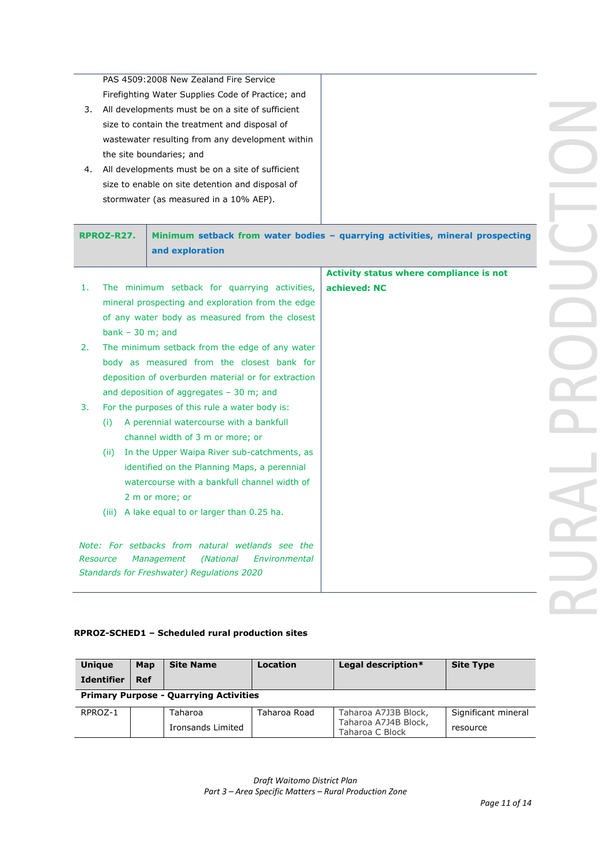PAS 4509:2008 New Zealand Fire Service Firefighting Water Supplies Code of Practice; and

- 3. All developments must be on a site of sufficient size to contain the treatment and disposal of wastewater resulting from any development within the site boundaries; and
- 4. All developments must be on a site of sufficient size to enable on site detention and disposal of stormwater (as measured in a 10% AEP).

|                   | and exploration                                                                       | Minimum setback from water bodies - quarrying activities, mineral prospecting |
|-------------------|---------------------------------------------------------------------------------------|-------------------------------------------------------------------------------|
|                   |                                                                                       | Activity status where compliance is not                                       |
| 1.                | The minimum setback for quarrying activities,                                         | achieved: NC                                                                  |
|                   | mineral prospecting and exploration from the edge                                     |                                                                               |
|                   | of any water body as measured from the closest                                        |                                                                               |
| bank $-30$ m; and |                                                                                       |                                                                               |
| 2.                | The minimum setback from the edge of any water                                        |                                                                               |
|                   | body as measured from the closest bank for                                            |                                                                               |
|                   | deposition of overburden material or for extraction                                   |                                                                               |
|                   | and deposition of aggregates $-30$ m; and                                             |                                                                               |
| 3.                | For the purposes of this rule a water body is:                                        |                                                                               |
| (i)               | A perennial watercourse with a bankfull                                               |                                                                               |
|                   | channel width of 3 m or more; or                                                      |                                                                               |
| (ii)              | In the Upper Waipa River sub-catchments, as                                           |                                                                               |
|                   | identified on the Planning Maps, a perennial                                          |                                                                               |
|                   | watercourse with a bankfull channel width of                                          |                                                                               |
|                   | 2 m or more; or                                                                       |                                                                               |
|                   | (iii) A lake equal to or larger than 0.25 ha.                                         |                                                                               |
|                   |                                                                                       |                                                                               |
| Resource          | Note: For setbacks from natural wetlands see the<br><i>(National</i><br>Environmental |                                                                               |
|                   | Management<br>Standards for Freshwater) Regulations 2020                              |                                                                               |
|                   |                                                                                       |                                                                               |

## **RPROZ-SCHED1 – Scheduled rural production sites**

| <b>Unique</b>                                 | Map        | <b>Site Name</b>  | Location     | Legal description*                      | <b>Site Type</b>    |  |
|-----------------------------------------------|------------|-------------------|--------------|-----------------------------------------|---------------------|--|
| <b>Identifier</b>                             | <b>Ref</b> |                   |              |                                         |                     |  |
| <b>Primary Purpose - Quarrying Activities</b> |            |                   |              |                                         |                     |  |
| RPROZ-1                                       |            | Taharoa           | Taharoa Road | Taharoa A7J3B Block,                    | Significant mineral |  |
|                                               |            | Ironsands Limited |              | Taharoa A7J4B Block,<br>Taharoa C Block | resource            |  |

*Draft Waitomo District Plan Part 3 – Area Specific Matters – Rural Production Zone*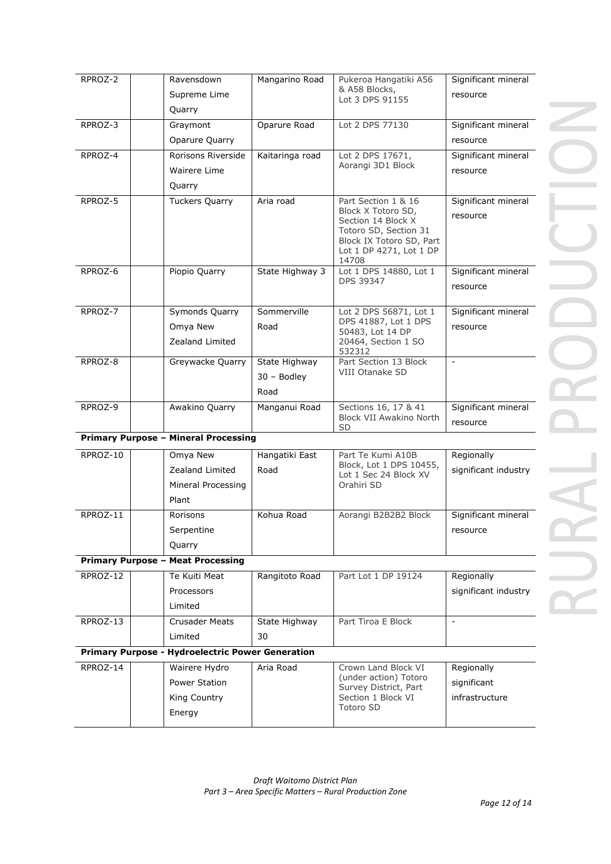| RPROZ-2  | Ravensdown                                              | Mangarino Road  | Pukeroa Hangatiki A56                             | Significant mineral  |
|----------|---------------------------------------------------------|-----------------|---------------------------------------------------|----------------------|
|          | Supreme Lime                                            |                 | & A58 Blocks,<br>Lot 3 DPS 91155                  | resource             |
|          | Quarry                                                  |                 |                                                   |                      |
| RPROZ-3  | Graymont                                                | Oparure Road    | Lot 2 DPS 77130                                   | Significant mineral  |
|          | Oparure Quarry                                          |                 |                                                   | resource             |
| RPROZ-4  | Rorisons Riverside                                      | Kaitaringa road | Lot 2 DPS 17671,                                  | Significant mineral  |
|          | Wairere Lime                                            |                 | Aorangi 3D1 Block                                 | resource             |
|          | Quarry                                                  |                 |                                                   |                      |
| RPROZ-5  | <b>Tuckers Quarry</b>                                   | Aria road       | Part Section 1 & 16<br>Block X Totoro SD,         | Significant mineral  |
|          |                                                         |                 | Section 14 Block X                                | resource             |
|          |                                                         |                 | Totoro SD, Section 31<br>Block IX Totoro SD, Part |                      |
|          |                                                         |                 | Lot 1 DP 4271, Lot 1 DP                           |                      |
| RPROZ-6  | Piopio Quarry                                           | State Highway 3 | 14708<br>Lot 1 DPS 14880, Lot 1                   | Significant mineral  |
|          |                                                         |                 | DPS 39347                                         | resource             |
|          |                                                         |                 |                                                   |                      |
| RPROZ-7  | Symonds Quarry                                          | Sommerville     | Lot 2 DPS 56871, Lot 1<br>DPS 41887, Lot 1 DPS    | Significant mineral  |
|          | Omya New                                                | Road            | 50483, Lot 14 DP                                  | resource             |
|          | Zealand Limited                                         |                 | 20464, Section 1 SO<br>532312                     |                      |
| RPROZ-8  | Greywacke Quarry                                        | State Highway   | Part Section 13 Block                             | $\blacksquare$       |
|          |                                                         | 30 - Bodley     | VIII Otanake SD                                   |                      |
|          |                                                         | Road            |                                                   |                      |
| RPROZ-9  | Awakino Quarry                                          | Manganui Road   | Sections 16, 17 & 41                              | Significant mineral  |
|          |                                                         |                 |                                                   |                      |
|          |                                                         |                 | <b>Block VII Awakino North</b><br><b>SD</b>       | resource             |
|          | <b>Primary Purpose - Mineral Processing</b>             |                 |                                                   |                      |
| RPROZ-10 | Omya New                                                | Hangatiki East  | Part Te Kumi A10B                                 | Regionally           |
|          | Zealand Limited                                         | Road            | Block, Lot 1 DPS 10455,<br>Lot 1 Sec 24 Block XV  | significant industry |
|          | Mineral Processing                                      |                 | Orahiri SD                                        |                      |
|          | Plant                                                   |                 |                                                   |                      |
| RPROZ-11 | Rorisons                                                | Kohua Road      | Aorangi B2B2B2 Block                              | Significant mineral  |
|          | Serpentine                                              |                 |                                                   | resource             |
|          | Quarry                                                  |                 |                                                   |                      |
|          | <b>Primary Purpose - Meat Processing</b>                |                 |                                                   |                      |
| RPROZ-12 | Te Kuiti Meat                                           | Rangitoto Road  | Part Lot 1 DP 19124                               | Regionally           |
|          | Processors                                              |                 |                                                   | significant industry |
|          | Limited                                                 |                 |                                                   |                      |
| RPROZ-13 | <b>Crusader Meats</b>                                   | State Highway   | Part Tiroa E Block                                | $\equiv$             |
|          | Limited                                                 | 30              |                                                   |                      |
|          | <b>Primary Purpose - Hydroelectric Power Generation</b> |                 |                                                   |                      |
| RPROZ-14 | Wairere Hydro                                           | Aria Road       | Crown Land Block VI                               | Regionally           |
|          | Power Station                                           |                 | (under action) Totoro<br>Survey District, Part    | significant          |
|          | King Country<br>Energy                                  |                 | Section 1 Block VI<br><b>Totoro SD</b>            | infrastructure       |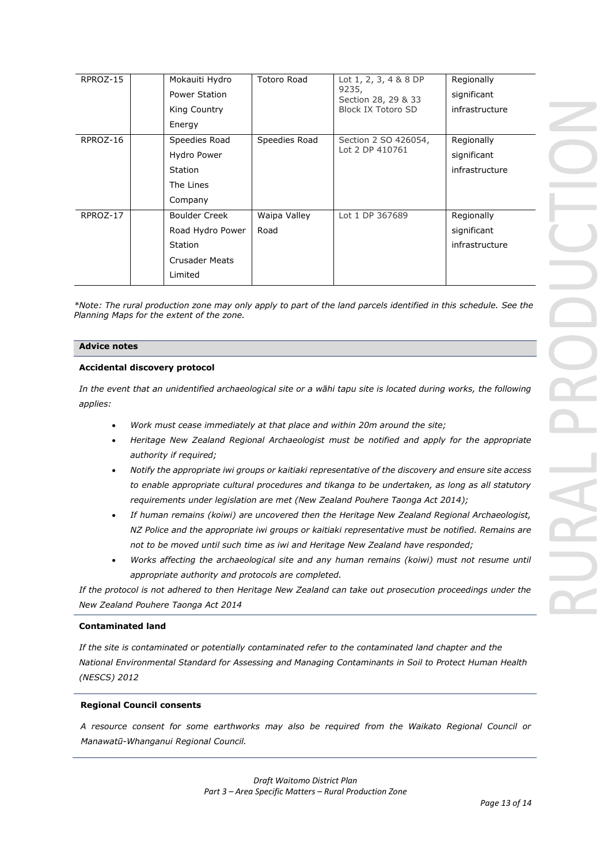| RPROZ-15 | Mokauiti Hydro<br>Power Station<br>King Country<br>Energy                                      | <b>Totoro Road</b>   | Lot $1, 2, 3, 4 & 8 & 8$ DP<br>9235,<br>Section 28, 29 & 33<br><b>Block IX Totoro SD</b> | Regionally<br>significant<br>infrastructure |
|----------|------------------------------------------------------------------------------------------------|----------------------|------------------------------------------------------------------------------------------|---------------------------------------------|
| RPROZ-16 | Speedies Road<br>Hydro Power<br><b>Station</b><br>The Lines<br>Company                         | Speedies Road        | Section 2 SO 426054,<br>Lot 2 DP 410761                                                  | Regionally<br>significant<br>infrastructure |
| RPROZ-17 | <b>Boulder Creek</b><br>Road Hydro Power<br><b>Station</b><br><b>Crusader Meats</b><br>Limited | Waipa Valley<br>Road | Lot 1 DP 367689                                                                          | Regionally<br>significant<br>infrastructure |

*\*Note: The rural production zone may only apply to part of the land parcels identified in this schedule. See the Planning Maps for the extent of the zone.* 

#### **Advice notes**

#### **Accidental discovery protocol**

*In the event that an unidentified archaeological site or a wāhi tapu site is located during works, the following applies:*

- *Work must cease immediately at that place and within 20m around the site;*
- *Heritage New Zealand Regional Archaeologist must be notified and apply for the appropriate authority if required;*
- *Notify the appropriate iwi groups or kaitiaki representative of the discovery and ensure site access to enable appropriate cultural procedures and tikanga to be undertaken, as long as all statutory requirements under legislation are met (New Zealand Pouhere Taonga Act 2014);*
- *If human remains (koiwi) are uncovered then the Heritage New Zealand Regional Archaeologist, NZ Police and the appropriate iwi groups or kaitiaki representative must be notified. Remains are not to be moved until such time as iwi and Heritage New Zealand have responded;*
- *Works affecting the archaeological site and any human remains (koiwi) must not resume until appropriate authority and protocols are completed.*

*If the protocol is not adhered to then Heritage New Zealand can take out prosecution proceedings under the New Zealand Pouhere Taonga Act 2014*

#### **Contaminated land**

*If the site is contaminated or potentially contaminated refer to the contaminated land chapter and the National Environmental Standard for Assessing and Managing Contaminants in Soil to Protect Human Health (NESCS) 2012*

#### **Regional Council consents**

*A resource consent for some earthworks may also be required from the Waikato Regional Council or Manawatū-Whanganui Regional Council.*